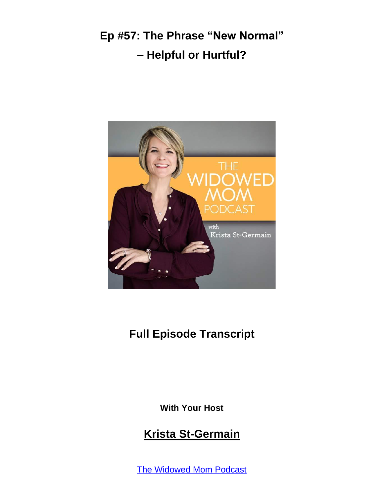

#### **Full Episode Transcript**

**With Your Host**

#### **Krista St-Germain**

The [Widowed](https://coachingwithkrista.com/podcast) Mom Podcast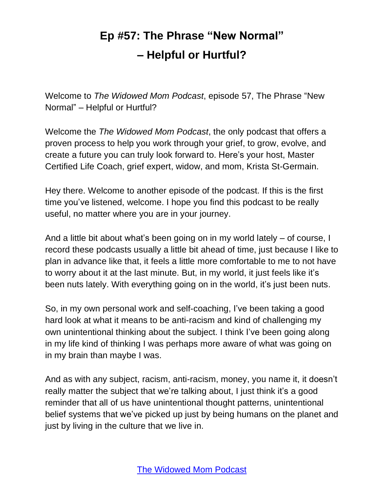Welcome to *The Widowed Mom Podcast*, episode 57, The Phrase "New Normal" – Helpful or Hurtful?

Welcome the *The Widowed Mom Podcast*, the only podcast that offers a proven process to help you work through your grief, to grow, evolve, and create a future you can truly look forward to. Here's your host, Master Certified Life Coach, grief expert, widow, and mom, Krista St-Germain.

Hey there. Welcome to another episode of the podcast. If this is the first time you've listened, welcome. I hope you find this podcast to be really useful, no matter where you are in your journey.

And a little bit about what's been going on in my world lately – of course, I record these podcasts usually a little bit ahead of time, just because I like to plan in advance like that, it feels a little more comfortable to me to not have to worry about it at the last minute. But, in my world, it just feels like it's been nuts lately. With everything going on in the world, it's just been nuts.

So, in my own personal work and self-coaching, I've been taking a good hard look at what it means to be anti-racism and kind of challenging my own unintentional thinking about the subject. I think I've been going along in my life kind of thinking I was perhaps more aware of what was going on in my brain than maybe I was.

And as with any subject, racism, anti-racism, money, you name it, it doesn't really matter the subject that we're talking about, I just think it's a good reminder that all of us have unintentional thought patterns, unintentional belief systems that we've picked up just by being humans on the planet and just by living in the culture that we live in.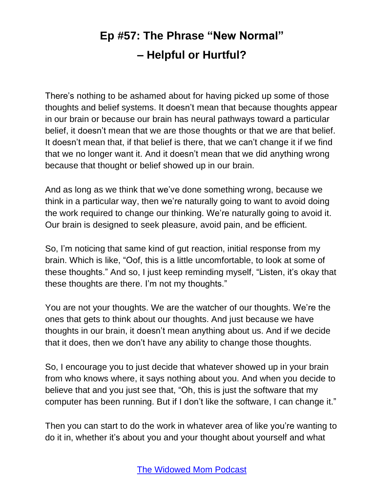There's nothing to be ashamed about for having picked up some of those thoughts and belief systems. It doesn't mean that because thoughts appear in our brain or because our brain has neural pathways toward a particular belief, it doesn't mean that we are those thoughts or that we are that belief. It doesn't mean that, if that belief is there, that we can't change it if we find that we no longer want it. And it doesn't mean that we did anything wrong because that thought or belief showed up in our brain.

And as long as we think that we've done something wrong, because we think in a particular way, then we're naturally going to want to avoid doing the work required to change our thinking. We're naturally going to avoid it. Our brain is designed to seek pleasure, avoid pain, and be efficient.

So, I'm noticing that same kind of gut reaction, initial response from my brain. Which is like, "Oof, this is a little uncomfortable, to look at some of these thoughts." And so, I just keep reminding myself, "Listen, it's okay that these thoughts are there. I'm not my thoughts."

You are not your thoughts. We are the watcher of our thoughts. We're the ones that gets to think about our thoughts. And just because we have thoughts in our brain, it doesn't mean anything about us. And if we decide that it does, then we don't have any ability to change those thoughts.

So, I encourage you to just decide that whatever showed up in your brain from who knows where, it says nothing about you. And when you decide to believe that and you just see that, "Oh, this is just the software that my computer has been running. But if I don't like the software, I can change it."

Then you can start to do the work in whatever area of like you're wanting to do it in, whether it's about you and your thought about yourself and what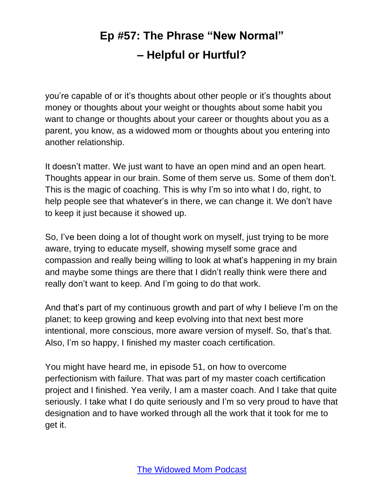you're capable of or it's thoughts about other people or it's thoughts about money or thoughts about your weight or thoughts about some habit you want to change or thoughts about your career or thoughts about you as a parent, you know, as a widowed mom or thoughts about you entering into another relationship.

It doesn't matter. We just want to have an open mind and an open heart. Thoughts appear in our brain. Some of them serve us. Some of them don't. This is the magic of coaching. This is why I'm so into what I do, right, to help people see that whatever's in there, we can change it. We don't have to keep it just because it showed up.

So, I've been doing a lot of thought work on myself, just trying to be more aware, trying to educate myself, showing myself some grace and compassion and really being willing to look at what's happening in my brain and maybe some things are there that I didn't really think were there and really don't want to keep. And I'm going to do that work.

And that's part of my continuous growth and part of why I believe I'm on the planet; to keep growing and keep evolving into that next best more intentional, more conscious, more aware version of myself. So, that's that. Also, I'm so happy, I finished my master coach certification.

You might have heard me, in episode 51, on how to overcome perfectionism with failure. That was part of my master coach certification project and I finished. Yea verily, I am a master coach. And I take that quite seriously. I take what I do quite seriously and I'm so very proud to have that designation and to have worked through all the work that it took for me to get it.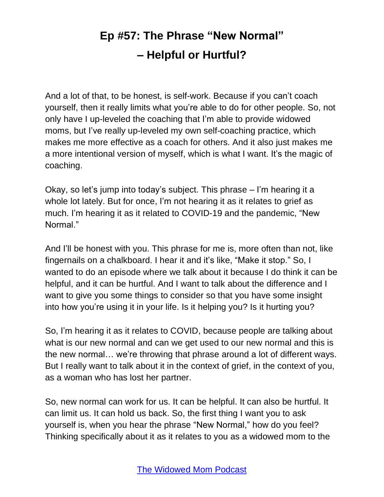And a lot of that, to be honest, is self-work. Because if you can't coach yourself, then it really limits what you're able to do for other people. So, not only have I up-leveled the coaching that I'm able to provide widowed moms, but I've really up-leveled my own self-coaching practice, which makes me more effective as a coach for others. And it also just makes me a more intentional version of myself, which is what I want. It's the magic of coaching.

Okay, so let's jump into today's subject. This phrase – I'm hearing it a whole lot lately. But for once, I'm not hearing it as it relates to grief as much. I'm hearing it as it related to COVID-19 and the pandemic, "New Normal."

And I'll be honest with you. This phrase for me is, more often than not, like fingernails on a chalkboard. I hear it and it's like, "Make it stop." So, I wanted to do an episode where we talk about it because I do think it can be helpful, and it can be hurtful. And I want to talk about the difference and I want to give you some things to consider so that you have some insight into how you're using it in your life. Is it helping you? Is it hurting you?

So, I'm hearing it as it relates to COVID, because people are talking about what is our new normal and can we get used to our new normal and this is the new normal… we're throwing that phrase around a lot of different ways. But I really want to talk about it in the context of grief, in the context of you, as a woman who has lost her partner.

So, new normal can work for us. It can be helpful. It can also be hurtful. It can limit us. It can hold us back. So, the first thing I want you to ask yourself is, when you hear the phrase "New Normal," how do you feel? Thinking specifically about it as it relates to you as a widowed mom to the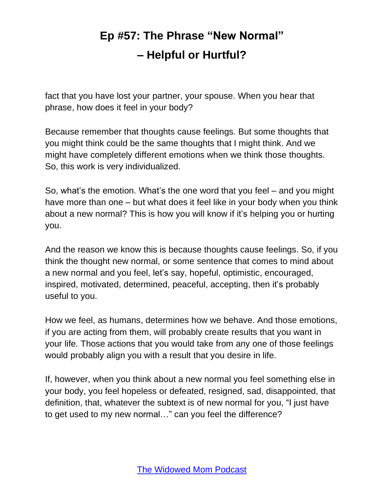fact that you have lost your partner, your spouse. When you hear that phrase, how does it feel in your body?

Because remember that thoughts cause feelings. But some thoughts that you might think could be the same thoughts that I might think. And we might have completely different emotions when we think those thoughts. So, this work is very individualized.

So, what's the emotion. What's the one word that you feel – and you might have more than one – but what does it feel like in your body when you think about a new normal? This is how you will know if it's helping you or hurting you.

And the reason we know this is because thoughts cause feelings. So, if you think the thought new normal, or some sentence that comes to mind about a new normal and you feel, let's say, hopeful, optimistic, encouraged, inspired, motivated, determined, peaceful, accepting, then it's probably useful to you.

How we feel, as humans, determines how we behave. And those emotions, if you are acting from them, will probably create results that you want in your life. Those actions that you would take from any one of those feelings would probably align you with a result that you desire in life.

If, however, when you think about a new normal you feel something else in your body, you feel hopeless or defeated, resigned, sad, disappointed, that definition, that, whatever the subtext is of new normal for you, "I just have to get used to my new normal…" can you feel the difference?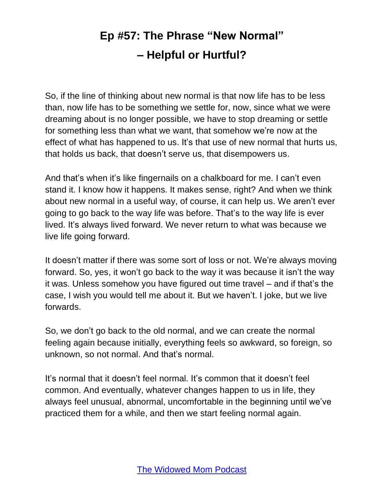So, if the line of thinking about new normal is that now life has to be less than, now life has to be something we settle for, now, since what we were dreaming about is no longer possible, we have to stop dreaming or settle for something less than what we want, that somehow we're now at the effect of what has happened to us. It's that use of new normal that hurts us, that holds us back, that doesn't serve us, that disempowers us.

And that's when it's like fingernails on a chalkboard for me. I can't even stand it. I know how it happens. It makes sense, right? And when we think about new normal in a useful way, of course, it can help us. We aren't ever going to go back to the way life was before. That's to the way life is ever lived. It's always lived forward. We never return to what was because we live life going forward.

It doesn't matter if there was some sort of loss or not. We're always moving forward. So, yes, it won't go back to the way it was because it isn't the way it was. Unless somehow you have figured out time travel – and if that's the case, I wish you would tell me about it. But we haven't. I joke, but we live forwards.

So, we don't go back to the old normal, and we can create the normal feeling again because initially, everything feels so awkward, so foreign, so unknown, so not normal. And that's normal.

It's normal that it doesn't feel normal. It's common that it doesn't feel common. And eventually, whatever changes happen to us in life, they always feel unusual, abnormal, uncomfortable in the beginning until we've practiced them for a while, and then we start feeling normal again.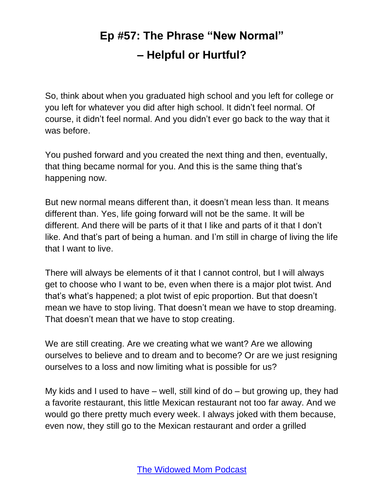So, think about when you graduated high school and you left for college or you left for whatever you did after high school. It didn't feel normal. Of course, it didn't feel normal. And you didn't ever go back to the way that it was before.

You pushed forward and you created the next thing and then, eventually, that thing became normal for you. And this is the same thing that's happening now.

But new normal means different than, it doesn't mean less than. It means different than. Yes, life going forward will not be the same. It will be different. And there will be parts of it that I like and parts of it that I don't like. And that's part of being a human. and I'm still in charge of living the life that I want to live.

There will always be elements of it that I cannot control, but I will always get to choose who I want to be, even when there is a major plot twist. And that's what's happened; a plot twist of epic proportion. But that doesn't mean we have to stop living. That doesn't mean we have to stop dreaming. That doesn't mean that we have to stop creating.

We are still creating. Are we creating what we want? Are we allowing ourselves to believe and to dream and to become? Or are we just resigning ourselves to a loss and now limiting what is possible for us?

My kids and I used to have – well, still kind of do – but growing up, they had a favorite restaurant, this little Mexican restaurant not too far away. And we would go there pretty much every week. I always joked with them because, even now, they still go to the Mexican restaurant and order a grilled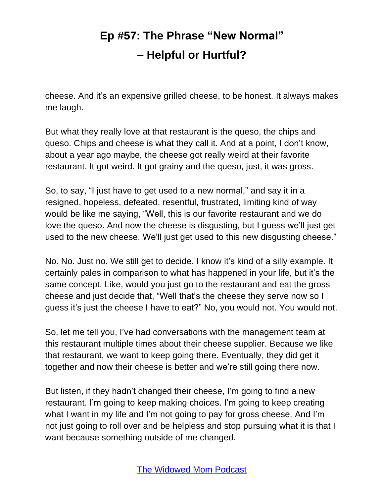cheese. And it's an expensive grilled cheese, to be honest. It always makes me laugh.

But what they really love at that restaurant is the queso, the chips and queso. Chips and cheese is what they call it. And at a point, I don't know, about a year ago maybe, the cheese got really weird at their favorite restaurant. It got weird. It got grainy and the queso, just, it was gross.

So, to say, "I just have to get used to a new normal," and say it in a resigned, hopeless, defeated, resentful, frustrated, limiting kind of way would be like me saying, "Well, this is our favorite restaurant and we do love the queso. And now the cheese is disgusting, but I guess we'll just get used to the new cheese. We'll just get used to this new disgusting cheese."

No. No. Just no. We still get to decide. I know it's kind of a silly example. It certainly pales in comparison to what has happened in your life, but it's the same concept. Like, would you just go to the restaurant and eat the gross cheese and just decide that, "Well that's the cheese they serve now so I guess it's just the cheese I have to eat?" No, you would not. You would not.

So, let me tell you, I've had conversations with the management team at this restaurant multiple times about their cheese supplier. Because we like that restaurant, we want to keep going there. Eventually, they did get it together and now their cheese is better and we're still going there now.

But listen, if they hadn't changed their cheese, I'm going to find a new restaurant. I'm going to keep making choices. I'm going to keep creating what I want in my life and I'm not going to pay for gross cheese. And I'm not just going to roll over and be helpless and stop pursuing what it is that I want because something outside of me changed.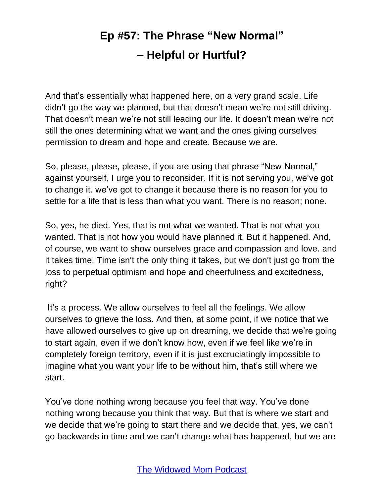And that's essentially what happened here, on a very grand scale. Life didn't go the way we planned, but that doesn't mean we're not still driving. That doesn't mean we're not still leading our life. It doesn't mean we're not still the ones determining what we want and the ones giving ourselves permission to dream and hope and create. Because we are.

So, please, please, please, if you are using that phrase "New Normal," against yourself, I urge you to reconsider. If it is not serving you, we've got to change it. we've got to change it because there is no reason for you to settle for a life that is less than what you want. There is no reason; none.

So, yes, he died. Yes, that is not what we wanted. That is not what you wanted. That is not how you would have planned it. But it happened. And, of course, we want to show ourselves grace and compassion and love. and it takes time. Time isn't the only thing it takes, but we don't just go from the loss to perpetual optimism and hope and cheerfulness and excitedness, right?

It's a process. We allow ourselves to feel all the feelings. We allow ourselves to grieve the loss. And then, at some point, if we notice that we have allowed ourselves to give up on dreaming, we decide that we're going to start again, even if we don't know how, even if we feel like we're in completely foreign territory, even if it is just excruciatingly impossible to imagine what you want your life to be without him, that's still where we start.

You've done nothing wrong because you feel that way. You've done nothing wrong because you think that way. But that is where we start and we decide that we're going to start there and we decide that, yes, we can't go backwards in time and we can't change what has happened, but we are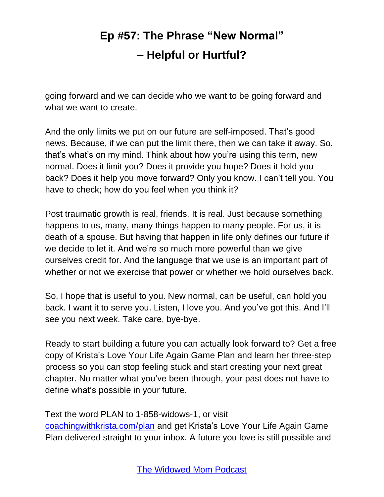going forward and we can decide who we want to be going forward and what we want to create.

And the only limits we put on our future are self-imposed. That's good news. Because, if we can put the limit there, then we can take it away. So, that's what's on my mind. Think about how you're using this term, new normal. Does it limit you? Does it provide you hope? Does it hold you back? Does it help you move forward? Only you know. I can't tell you. You have to check; how do you feel when you think it?

Post traumatic growth is real, friends. It is real. Just because something happens to us, many, many things happen to many people. For us, it is death of a spouse. But having that happen in life only defines our future if we decide to let it. And we're so much more powerful than we give ourselves credit for. And the language that we use is an important part of whether or not we exercise that power or whether we hold ourselves back.

So, I hope that is useful to you. New normal, can be useful, can hold you back. I want it to serve you. Listen, I love you. And you've got this. And I'll see you next week. Take care, bye-bye.

Ready to start building a future you can actually look forward to? Get a free copy of Krista's Love Your Life Again Game Plan and learn her three-step process so you can stop feeling stuck and start creating your next great chapter. No matter what you've been through, your past does not have to define what's possible in your future.

Text the word PLAN to 1-858-widows-1, or visit [coachingwithkrista.com/plan](http://www.coachingwithkrista.com/plan) and get Krista's Love Your Life Again Game Plan delivered straight to your inbox. A future you love is still possible and